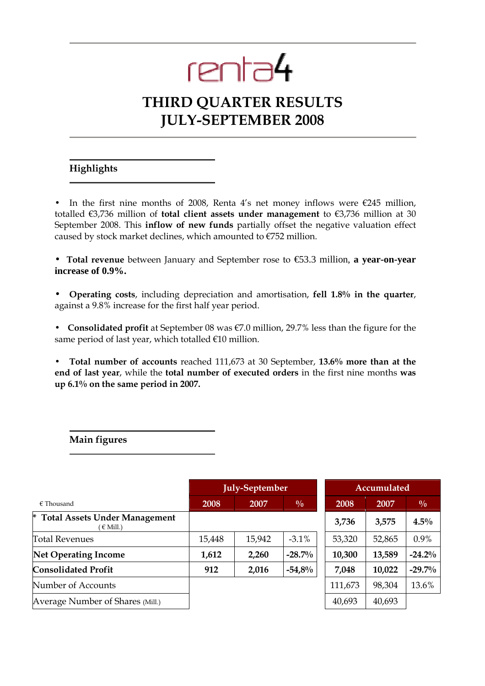# renta4

# THIRD QUARTER RESULTS JULY-SEPTEMBER 2008

### Highlights

In the first nine months of 2008, Renta 4's net money inflows were  $\epsilon$ 245 million, totalled  $\epsilon$ 3,736 million of total client assets under management to  $\epsilon$ 3,736 million at 30 September 2008. This inflow of new funds partially offset the negative valuation effect caused by stock market declines, which amounted to  $\epsilon$ 752 million.

• Total revenue between January and September rose to €53.3 million, **a year-on-year increase of 0.9%.** 

• Operating costs, including depreciation and amortisation, fell 1.8% in the quarter, against a 9.8% increase for the first half year period.

• Consolidated profit at September 08 was €7.0 million, 29.7% less than the figure for the same period of last year, which totalled €10 million.

• Total number of accounts reached 111,673 at 30 September, 13.6% more than at the end of last year, while the total number of executed orders in the first nine months was up 6.1% on the same period in 2007.

Main figures

|                                                            | <b>July-September</b> |        |               | Accumulated |        |               |
|------------------------------------------------------------|-----------------------|--------|---------------|-------------|--------|---------------|
| $\epsilon$ Thousand                                        | 2008                  | 2007   | $\frac{0}{0}$ | <b>2008</b> | 2007   | $\frac{0}{0}$ |
| ×.<br><b>Total Assets Under Management</b><br>$\in$ Mill.) |                       |        |               | 3,736       | 3,575  | $4.5\%$       |
| <b>Total Revenues</b>                                      | 15,448                | 15,942 | $-3.1\%$      | 53,320      | 52,865 | 0.9%          |
| <b>Net Operating Income</b>                                | 1,612                 | 2,260  | $-28.7\%$     | 10,300      | 13,589 | $-24.2%$      |
| <b>Consolidated Profit</b>                                 | 912                   | 2,016  | $-54,8%$      | 7,048       | 10,022 | $-29.7%$      |
| Number of Accounts                                         |                       |        |               | 111,673     | 98,304 | 13.6%         |
| Average Number of Shares (Mill.)                           |                       |        |               | 40,693      | 40,693 |               |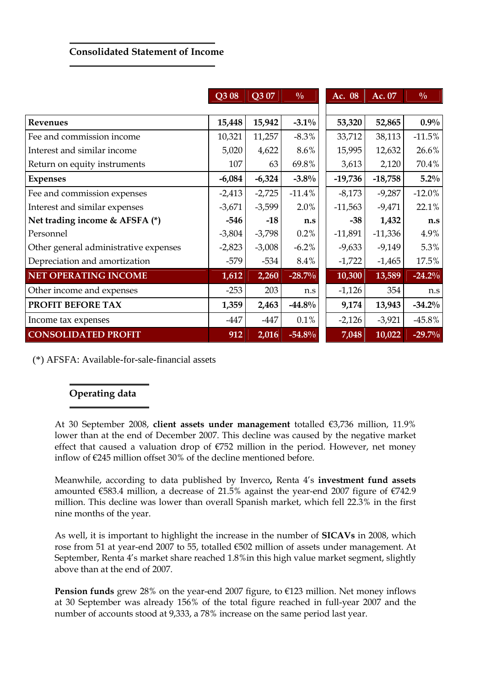# Consolidated Statement of Income

|                                       | Q308     | Q3 07    | $\frac{0}{0}$ | Ac. 08    | Ac. 07    | $\frac{0}{0}$ |
|---------------------------------------|----------|----------|---------------|-----------|-----------|---------------|
|                                       |          |          |               |           |           |               |
| Revenues                              | 15,448   | 15,942   | $-3.1\%$      | 53,320    | 52,865    | $0.9\%$       |
| Fee and commission income             | 10,321   | 11,257   | $-8.3\%$      | 33,712    | 38,113    | $-11.5%$      |
| Interest and similar income           | 5,020    | 4,622    | 8.6%          | 15,995    | 12,632    | 26.6%         |
| Return on equity instruments          | 107      | 63       | 69.8%         | 3,613     | 2,120     | 70.4%         |
| <b>Expenses</b>                       | $-6,084$ | $-6,324$ | $-3.8\%$      | $-19,736$ | $-18,758$ | $5.2\%$       |
| Fee and commission expenses           | $-2,413$ | $-2,725$ | $-11.4%$      | $-8,173$  | $-9,287$  | $-12.0\%$     |
| Interest and similar expenses         | $-3,671$ | $-3,599$ | 2.0%          | $-11,563$ | $-9,471$  | 22.1%         |
| Net trading income & AFSFA (*)        | $-546$   | $-18$    | n.s           | $-38$     | 1,432     | n.s           |
| Personnel                             | $-3,804$ | $-3,798$ | 0.2%          | $-11,891$ | $-11,336$ | 4.9%          |
| Other general administrative expenses | $-2,823$ | $-3,008$ | $-6.2\%$      | $-9,633$  | $-9,149$  | 5.3%          |
| Depreciation and amortization         | $-579$   | $-534$   | 8.4%          | $-1,722$  | $-1,465$  | 17.5%         |
| <b>NET OPERATING INCOME</b>           | 1,612    | 2,260    | $-28.7%$      | 10,300    | 13,589    | $-24.2%$      |
| Other income and expenses             | $-253$   | 203      | n.s           | $-1,126$  | 354       | n.s           |
| PROFIT BEFORE TAX                     | 1,359    | 2,463    | $-44.8\%$     | 9,174     | 13,943    | $-34.2%$      |
| Income tax expenses                   | $-447$   | $-447$   | 0.1%          | $-2,126$  | $-3,921$  | $-45.8\%$     |
| <b>CONSOLIDATED PROFIT</b>            | 912      | 2,016    | $-54.8%$      | 7,048     | 10,022    | $-29.7%$      |

(\*) AFSFA: Available-for-sale-financial assets

## Operating data

At 30 September 2008, client assets under management totalled €3,736 million, 11.9% lower than at the end of December 2007. This decline was caused by the negative market effect that caused a valuation drop of  $E$ 752 million in the period. However, net money inflow of €245 million offset 30% of the decline mentioned before.

Meanwhile, according to data published by Inverco, Renta 4's investment fund assets amounted  $\epsilon$ 583.4 million, a decrease of 21.5% against the year-end 2007 figure of  $\epsilon$ 742.9 million. This decline was lower than overall Spanish market, which fell 22.3% in the first nine months of the year.

As well, it is important to highlight the increase in the number of SICAVs in 2008, which rose from 51 at year-end 2007 to 55, totalled €502 million of assets under management. At September, Renta 4's market share reached 1.8%in this high value market segment, slightly above than at the end of 2007.

Pension funds grew 28% on the year-end 2007 figure, to €123 million. Net money inflows at 30 September was already 156% of the total figure reached in full-year 2007 and the number of accounts stood at 9,333, a 78% increase on the same period last year.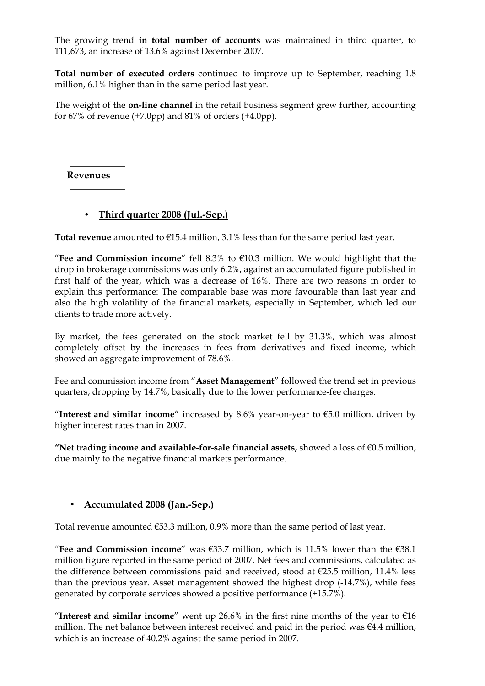The growing trend in total number of accounts was maintained in third quarter, to 111,673, an increase of 13.6% against December 2007.

Total number of executed orders continued to improve up to September, reaching 1.8 million, 6.1% higher than in the same period last year.

The weight of the **on-line channel** in the retail business segment grew further, accounting for  $67\%$  of revenue  $(+7.0pp)$  and  $81\%$  of orders  $(+4.0pp)$ .

#### Revenues

### • Third quarter 2008 (Jul.-Sep.)

Total revenue amounted to  $E$ 15.4 million, 3.1% less than for the same period last year.

"Fee and Commission income" fell 8.3% to  $\epsilon$ 10.3 million. We would highlight that the drop in brokerage commissions was only 6.2%, against an accumulated figure published in first half of the year, which was a decrease of 16%. There are two reasons in order to explain this performance: The comparable base was more favourable than last year and also the high volatility of the financial markets, especially in September, which led our clients to trade more actively.

By market, the fees generated on the stock market fell by 31.3%, which was almost completely offset by the increases in fees from derivatives and fixed income, which showed an aggregate improvement of 78.6%.

Fee and commission income from "Asset Management" followed the trend set in previous quarters, dropping by 14.7%, basically due to the lower performance-fee charges.

"Interest and similar income" increased by 8.6% year-on-year to  $\epsilon$ 5.0 million, driven by higher interest rates than in 2007.

"Net trading income and available-for-sale financial assets, showed a loss of  $\epsilon$ 0.5 million, due mainly to the negative financial markets performance.

#### • Accumulated 2008 (Jan.-Sep.)

Total revenue amounted  $€53.3$  million, 0.9% more than the same period of last year.

"Fee and Commission income" was  $\epsilon$ 33.7 million, which is 11.5% lower than the  $\epsilon$ 38.1 million figure reported in the same period of 2007. Net fees and commissions, calculated as the difference between commissions paid and received, stood at  $\epsilon$ 25.5 million, 11.4% less than the previous year. Asset management showed the highest drop (-14.7%), while fees generated by corporate services showed a positive performance (+15.7%).

"Interest and similar income" went up 26.6% in the first nine months of the year to  $\epsilon$ 16 million. The net balance between interest received and paid in the period was €4.4 million, which is an increase of 40.2% against the same period in 2007.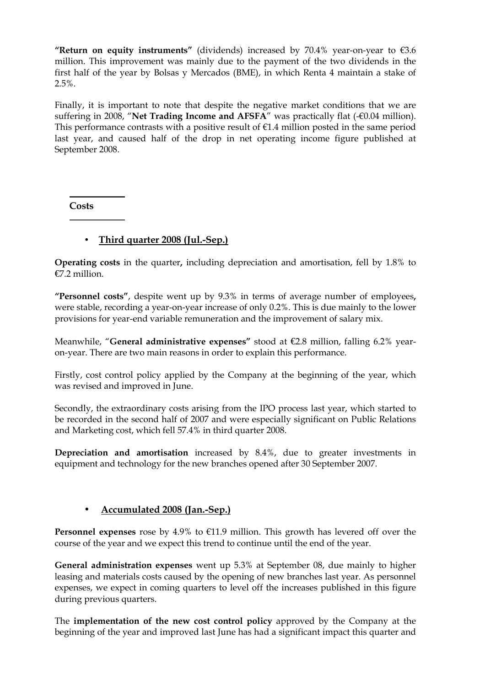"Return on equity instruments" (dividends) increased by 70.4% year-on-year to  $\epsilon$ 3.6 million. This improvement was mainly due to the payment of the two dividends in the first half of the year by Bolsas y Mercados (BME), in which Renta 4 maintain a stake of 2.5%.

Finally, it is important to note that despite the negative market conditions that we are suffering in 2008, "Net Trading Income and AFSFA" was practically flat (-€0.04 million). This performance contrasts with a positive result of  $E1.4$  million posted in the same period last year, and caused half of the drop in net operating income figure published at September 2008.

**Costs** 

# • Third quarter 2008 (Jul.-Sep.)

Operating costs in the quarter, including depreciation and amortisation, fell by 1.8% to €7.2 million.

"Personnel costs", despite went up by 9.3% in terms of average number of employees, were stable, recording a year-on-year increase of only 0.2%. This is due mainly to the lower provisions for year-end variable remuneration and the improvement of salary mix.

Meanwhile, "General administrative expenses" stood at €2.8 million, falling 6.2% yearon-year. There are two main reasons in order to explain this performance.

Firstly, cost control policy applied by the Company at the beginning of the year, which was revised and improved in June.

Secondly, the extraordinary costs arising from the IPO process last year, which started to be recorded in the second half of 2007 and were especially significant on Public Relations and Marketing cost, which fell 57.4% in third quarter 2008.

Depreciation and amortisation increased by 8.4%, due to greater investments in equipment and technology for the new branches opened after 30 September 2007.

#### • Accumulated 2008 (Jan.-Sep.)

**Personnel expenses** rose by 4.9% to  $E11.9$  million. This growth has levered off over the course of the year and we expect this trend to continue until the end of the year.

General administration expenses went up 5.3% at September 08, due mainly to higher leasing and materials costs caused by the opening of new branches last year. As personnel expenses, we expect in coming quarters to level off the increases published in this figure during previous quarters.

The implementation of the new cost control policy approved by the Company at the beginning of the year and improved last June has had a significant impact this quarter and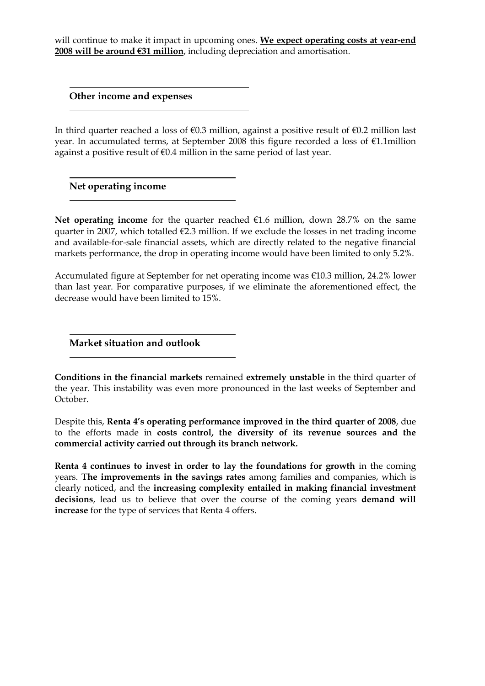will continue to make it impact in upcoming ones. We expect operating costs at year-end 2008 will be around €31 million, including depreciation and amortisation.

Other income and expenses

In third quarter reached a loss of €0.3 million, against a positive result of €0.2 million last year. In accumulated terms, at September 2008 this figure recorded a loss of €1.1million against a positive result of  $\epsilon$ 0.4 million in the same period of last year.

Net operating income

Net operating income for the quarter reached  $E1.6$  million, down 28.7% on the same quarter in 2007, which totalled €2.3 million. If we exclude the losses in net trading income and available-for-sale financial assets, which are directly related to the negative financial markets performance, the drop in operating income would have been limited to only 5.2%.

Accumulated figure at September for net operating income was €10.3 million, 24.2% lower than last year. For comparative purposes, if we eliminate the aforementioned effect, the decrease would have been limited to 15%.

Market situation and outlook

Conditions in the financial markets remained extremely unstable in the third quarter of the year. This instability was even more pronounced in the last weeks of September and October.

Despite this, Renta 4's operating performance improved in the third quarter of 2008, due to the efforts made in costs control, the diversity of its revenue sources and the commercial activity carried out through its branch network.

Renta 4 continues to invest in order to lay the foundations for growth in the coming years. The improvements in the savings rates among families and companies, which is clearly noticed, and the increasing complexity entailed in making financial investment decisions, lead us to believe that over the course of the coming years demand will increase for the type of services that Renta 4 offers.